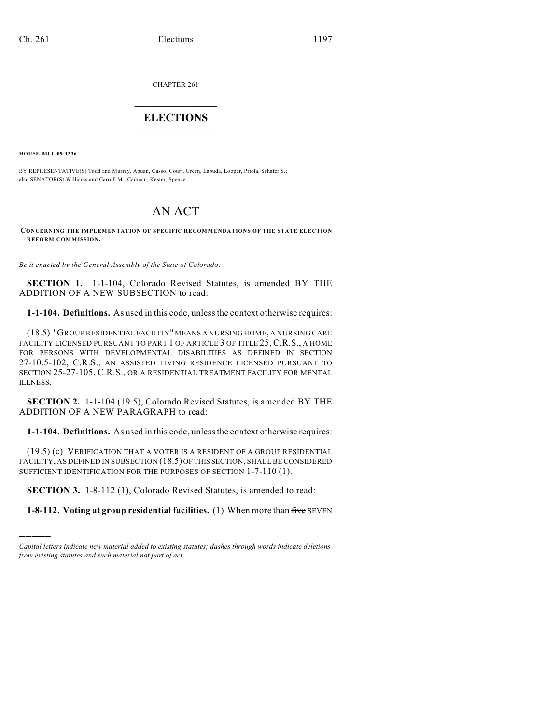CHAPTER 261

## $\overline{\phantom{a}}$  . The set of the set of the set of the set of the set of the set of the set of the set of the set of the set of the set of the set of the set of the set of the set of the set of the set of the set of the set o **ELECTIONS**  $\_$

**HOUSE BILL 09-1336**

)))))

BY REPRESENTATIVE(S) Todd and Murray, Apuan, Casso, Court, Green, Labuda, Looper, Priola, Schafer S.; also SENATOR(S) Williams and Carroll M., Cadman, Kester, Spence.

# AN ACT

#### **CONCERNING THE IMPLEMENTATION OF SPECIFIC RECOMMENDATIONS OF THE STATE ELECTION REFORM COMMISSION.**

*Be it enacted by the General Assembly of the State of Colorado:*

**SECTION 1.** 1-1-104, Colorado Revised Statutes, is amended BY THE ADDITION OF A NEW SUBSECTION to read:

**1-1-104. Definitions.** As used in this code, unless the context otherwise requires:

(18.5) "GROUP RESIDENTIAL FACILITY" MEANS A NURSING HOME, A NURSING CARE FACILITY LICENSED PURSUANT TO PART 1 OF ARTICLE 3 OF TITLE 25, C.R.S., A HOME FOR PERSONS WITH DEVELOPMENTAL DISABILITIES AS DEFINED IN SECTION 27-10.5-102, C.R.S., AN ASSISTED LIVING RESIDENCE LICENSED PURSUANT TO SECTION 25-27-105, C.R.S., OR A RESIDENTIAL TREATMENT FACILITY FOR MENTAL ILLNESS.

**SECTION 2.** 1-1-104 (19.5), Colorado Revised Statutes, is amended BY THE ADDITION OF A NEW PARAGRAPH to read:

**1-1-104. Definitions.** As used in this code, unless the context otherwise requires:

(19.5) (c) VERIFICATION THAT A VOTER IS A RESIDENT OF A GROUP RESIDENTIAL FACILITY, AS DEFINED IN SUBSECTION (18.5) OF THIS SECTION, SHALL BE CONSIDERED SUFFICIENT IDENTIFICATION FOR THE PURPOSES OF SECTION 1-7-110 (1).

**SECTION 3.** 1-8-112 (1), Colorado Revised Statutes, is amended to read:

**1-8-112. Voting at group residential facilities.** (1) When more than five SEVEN

*Capital letters indicate new material added to existing statutes; dashes through words indicate deletions from existing statutes and such material not part of act.*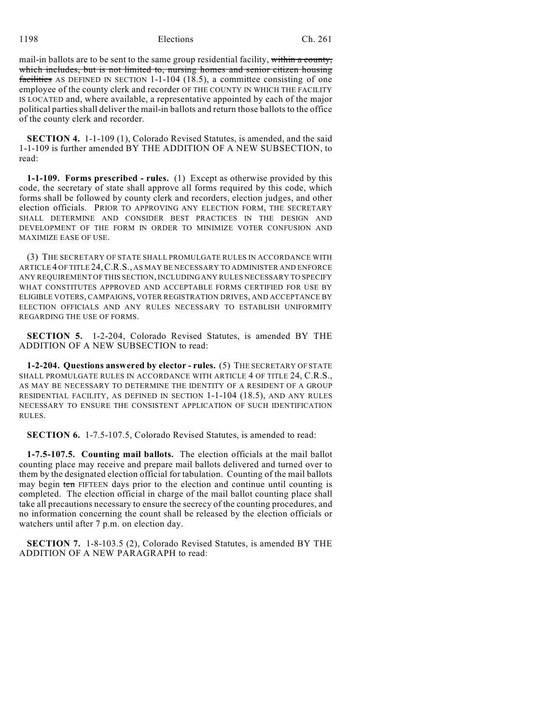1198 Elections Ch. 261

mail-in ballots are to be sent to the same group residential facility, within a county, which includes, but is not limited to, nursing homes and senior citizen housing facilities AS DEFINED IN SECTION 1-1-104 (18.5), a committee consisting of one employee of the county clerk and recorder OF THE COUNTY IN WHICH THE FACILITY IS LOCATED and, where available, a representative appointed by each of the major political parties shall deliver the mail-in ballots and return those ballots to the office of the county clerk and recorder.

**SECTION 4.** 1-1-109 (1), Colorado Revised Statutes, is amended, and the said 1-1-109 is further amended BY THE ADDITION OF A NEW SUBSECTION, to read:

**1-1-109. Forms prescribed - rules.** (1) Except as otherwise provided by this code, the secretary of state shall approve all forms required by this code, which forms shall be followed by county clerk and recorders, election judges, and other election officials. PRIOR TO APPROVING ANY ELECTION FORM, THE SECRETARY SHALL DETERMINE AND CONSIDER BEST PRACTICES IN THE DESIGN AND DEVELOPMENT OF THE FORM IN ORDER TO MINIMIZE VOTER CONFUSION AND MAXIMIZE EASE OF USE.

(3) THE SECRETARY OF STATE SHALL PROMULGATE RULES IN ACCORDANCE WITH ARTICLE 4 OF TITLE 24,C.R.S., AS MAY BE NECESSARY TO ADMINISTER AND ENFORCE ANY REQUIREMENT OF THIS SECTION, INCLUDING ANY RULES NECESSARY TO SPECIFY WHAT CONSTITUTES APPROVED AND ACCEPTABLE FORMS CERTIFIED FOR USE BY ELIGIBLE VOTERS, CAMPAIGNS, VOTER REGISTRATION DRIVES, AND ACCEPTANCE BY ELECTION OFFICIALS AND ANY RULES NECESSARY TO ESTABLISH UNIFORMITY REGARDING THE USE OF FORMS.

**SECTION 5.** 1-2-204, Colorado Revised Statutes, is amended BY THE ADDITION OF A NEW SUBSECTION to read:

**1-2-204. Questions answered by elector - rules.** (5) THE SECRETARY OF STATE SHALL PROMULGATE RULES IN ACCORDANCE WITH ARTICLE 4 OF TITLE 24, C.R.S., AS MAY BE NECESSARY TO DETERMINE THE IDENTITY OF A RESIDENT OF A GROUP RESIDENTIAL FACILITY, AS DEFINED IN SECTION 1-1-104 (18.5), AND ANY RULES NECESSARY TO ENSURE THE CONSISTENT APPLICATION OF SUCH IDENTIFICATION RULES.

**SECTION 6.** 1-7.5-107.5, Colorado Revised Statutes, is amended to read:

**1-7.5-107.5. Counting mail ballots.** The election officials at the mail ballot counting place may receive and prepare mail ballots delivered and turned over to them by the designated election official for tabulation. Counting of the mail ballots may begin ten FIFTEEN days prior to the election and continue until counting is completed. The election official in charge of the mail ballot counting place shall take all precautions necessary to ensure the secrecy of the counting procedures, and no information concerning the count shall be released by the election officials or watchers until after 7 p.m. on election day.

**SECTION 7.** 1-8-103.5 (2), Colorado Revised Statutes, is amended BY THE ADDITION OF A NEW PARAGRAPH to read: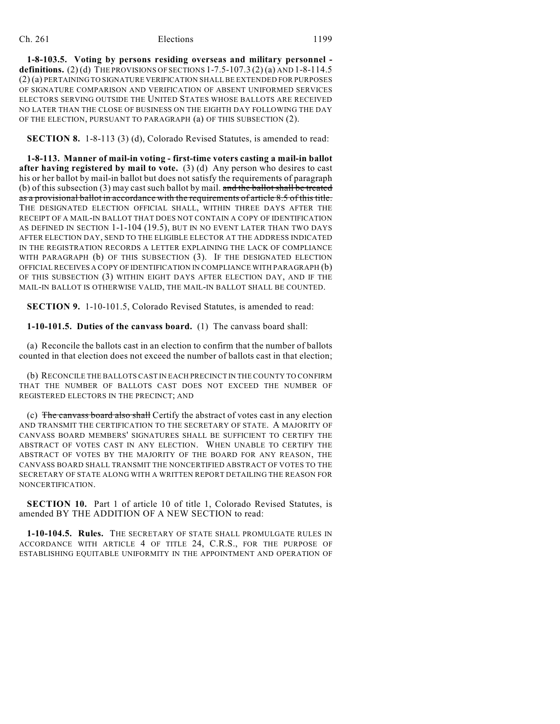### Ch. 261 Elections 1199

**1-8-103.5. Voting by persons residing overseas and military personnel definitions.** (2)(d) THE PROVISIONS OF SECTIONS  $1-7.5-107.3$  (2)(a) AND  $1-8-114.5$ (2) (a) PERTAINING TO SIGNATURE VERIFICATION SHALL BE EXTENDED FOR PURPOSES OF SIGNATURE COMPARISON AND VERIFICATION OF ABSENT UNIFORMED SERVICES ELECTORS SERVING OUTSIDE THE UNITED STATES WHOSE BALLOTS ARE RECEIVED NO LATER THAN THE CLOSE OF BUSINESS ON THE EIGHTH DAY FOLLOWING THE DAY OF THE ELECTION, PURSUANT TO PARAGRAPH (a) OF THIS SUBSECTION (2).

**SECTION 8.** 1-8-113 (3) (d), Colorado Revised Statutes, is amended to read:

**1-8-113. Manner of mail-in voting - first-time voters casting a mail-in ballot after having registered by mail to vote.** (3) (d) Any person who desires to cast his or her ballot by mail-in ballot but does not satisfy the requirements of paragraph (b) of this subsection (3) may cast such ballot by mail. and the ballot shall be treated as a provisional ballot in accordance with the requirements of article 8.5 of this title. THE DESIGNATED ELECTION OFFICIAL SHALL, WITHIN THREE DAYS AFTER THE RECEIPT OF A MAIL-IN BALLOT THAT DOES NOT CONTAIN A COPY OF IDENTIFICATION AS DEFINED IN SECTION 1-1-104 (19.5), BUT IN NO EVENT LATER THAN TWO DAYS AFTER ELECTION DAY, SEND TO THE ELIGIBLE ELECTOR AT THE ADDRESS INDICATED IN THE REGISTRATION RECORDS A LETTER EXPLAINING THE LACK OF COMPLIANCE WITH PARAGRAPH (b) OF THIS SUBSECTION (3). IF THE DESIGNATED ELECTION OFFICIAL RECEIVES A COPY OF IDENTIFICATION IN COMPLIANCE WITH PARAGRAPH (b) OF THIS SUBSECTION (3) WITHIN EIGHT DAYS AFTER ELECTION DAY, AND IF THE MAIL-IN BALLOT IS OTHERWISE VALID, THE MAIL-IN BALLOT SHALL BE COUNTED.

**SECTION 9.** 1-10-101.5, Colorado Revised Statutes, is amended to read:

**1-10-101.5. Duties of the canvass board.** (1) The canvass board shall:

(a) Reconcile the ballots cast in an election to confirm that the number of ballots counted in that election does not exceed the number of ballots cast in that election;

(b) RECONCILE THE BALLOTS CAST IN EACH PRECINCT IN THE COUNTY TO CONFIRM THAT THE NUMBER OF BALLOTS CAST DOES NOT EXCEED THE NUMBER OF REGISTERED ELECTORS IN THE PRECINCT; AND

(c) The canvass board also shall Certify the abstract of votes cast in any election AND TRANSMIT THE CERTIFICATION TO THE SECRETARY OF STATE. A MAJORITY OF CANVASS BOARD MEMBERS' SIGNATURES SHALL BE SUFFICIENT TO CERTIFY THE ABSTRACT OF VOTES CAST IN ANY ELECTION. WHEN UNABLE TO CERTIFY THE ABSTRACT OF VOTES BY THE MAJORITY OF THE BOARD FOR ANY REASON, THE CANVASS BOARD SHALL TRANSMIT THE NONCERTIFIED ABSTRACT OF VOTES TO THE SECRETARY OF STATE ALONG WITH A WRITTEN REPORT DETAILING THE REASON FOR NONCERTIFICATION.

**SECTION 10.** Part 1 of article 10 of title 1, Colorado Revised Statutes, is amended BY THE ADDITION OF A NEW SECTION to read:

**1-10-104.5. Rules.** THE SECRETARY OF STATE SHALL PROMULGATE RULES IN ACCORDANCE WITH ARTICLE 4 OF TITLE 24, C.R.S., FOR THE PURPOSE OF ESTABLISHING EQUITABLE UNIFORMITY IN THE APPOINTMENT AND OPERATION OF